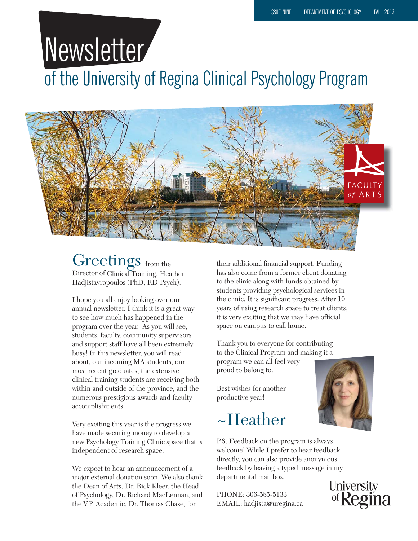# Newsletter

of the University of Regina Clinical Psychology Program



#### Greetings from the Director of Clinical Training, Heather Hadjistavropoulos (PhD, RD Psych).

I hope you all enjoy looking over our annual newsletter. I think it is a great way to see how much has happened in the program over the year. As you will see, students, faculty, community supervisors and support staff have all been extremely busy! In this newsletter, you will read about, our incoming MA students, our most recent graduates, the extensive clinical training students are receiving both within and outside of the province, and the numerous prestigious awards and faculty accomplishments.

Very exciting this year is the progress we have made securing money to develop a new Psychology Training Clinic space that is independent of research space.

We expect to hear an announcement of a major external donation soon. We also thank the Dean of Arts, Dr. Rick Kleer, the Head of Psychology, Dr. Richard MacLennan, and the V.P. Academic, Dr. Thomas Chase, for

their additional financial support. Funding has also come from a former client donating to the clinic along with funds obtained by students providing psychological services in the clinic. It is significant progress. After 10 years of using research space to treat clients, it is very exciting that we may have official space on campus to call home.

Thank you to everyone for contributing to the Clinical Program and making it a program we can all feel very proud to belong to.

Best wishes for another productive year!

### ~Heather



PHONE: 306-585-5133 EMAIL: hadjista@uregina.ca



University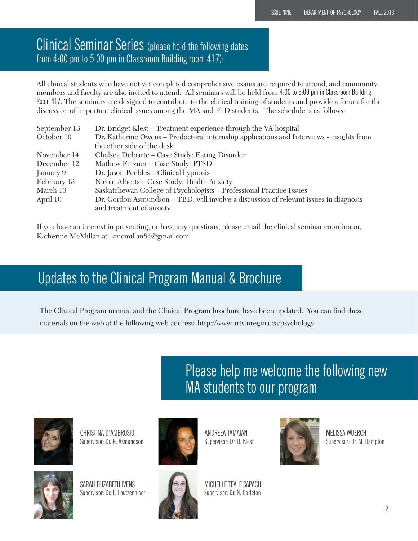#### Clinical Seminar Series (please hold the following dates from 4:00 pm to 5:00 pm in Classroom Building room 417):

All clinical students who have not yet completed comprehensive exams are required to attend, and community members and faculty are also invited to attend. All seminars will be held from 4:00 to 5:00 pm in Classroom Building Room 417. The seminars are designed to contribute to the clinical training of students and provide a forum for the discussion of important clinical issues among the MA and PhD students. The schedule is as follows:

| September 13 | Dr. Bridget Klest – Treatment experience through the VA hospital                         |
|--------------|------------------------------------------------------------------------------------------|
| October 10   | Dr. Katherine Owens - Predoctoral internship applications and Interviews - insights from |
|              | the other side of the desk                                                               |
| November 14  | Chelsea Delparte – Case Study: Eating Disorder                                           |
| December 12  | Mathew Fetzner - Case Study: PTSD                                                        |
| January 9    | Dr. Jason Peebles – Clinical hypnosis                                                    |
| February 13  | Nicole Alberts - Case Study: Health Anxiety                                              |
| March 13     | Saskatchewan College of Psychologists - Professional Practice Issues                     |
| April 10     | Dr. Gordon Asmundson – TBD, will involve a discussion of relevant issues in diagnosis    |
|              | and treatment of anxiety                                                                 |

If you have an interest in presenting, or have any questions, please email the clinical seminar coordinator, Katherine McMillan at: kmcmillan84@gmail.com.

#### Updates to the Clinical Program Manual & Brochure

The Clinical Program manual and the Clinical Program brochure have been updated. You can find these materials on the web at the following web address: http://www.arts.uregina.ca/psychology

> Please help me welcome the following new MA students to our program



CHRISTINA D'AMBROSIO Supervisor: Dr. G. Asmundson



SARAH ELIZABETH IVENS Supervisor: Dr. L. Loutzenhiser



ANDREEA TAMAIAN Supervisor: Dr. B. Klest



MELISSA WUERCH Supervisor: Dr. M. Hampton



- 2 -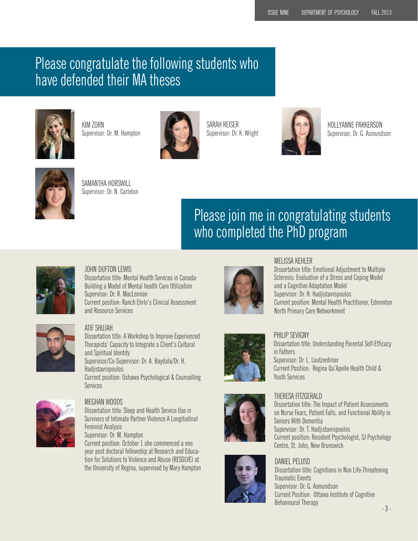### Please congratulate the following students who have defended their MA theses



KIM ZORN Supervisor: Dr. M. Hampton



SARAH REISER Supervisor: Dr. K. Wright



HOLLYANNE PARKERSON Supervisor: Dr. G. Asmundson



SAMANTHA HORSWILL Supervisor: Dr. N. Carleton

### Please join me in congratulating students who completed the PhD program



#### JOHN DUFTON LEWIS

Dissertation title: Mental Health Services in Canada: Building a Model of Mental health Care Utilization Supervisor: Dr. R. MacLennan Current position: Ranch Ehrlo's Clinical Assessment and Resource Services



#### ATIF SHUJAH

Dissertation title: A Workshop to Improve Experienced Therapists' Capacity to Integrate a Client's Cultural and Spiritual Identity Supervisor/Co-Supervisor: Dr. A. Baydala/Dr. H. Hadjistavropoulos Current position: Oshawa Psychological & Counselling **Services** 



#### MEGHAN WOODS

Dissertation title: Sleep and Health Service Use in Survivors of Intimate Partner Violence A Longitudinal Feminist Analysis Supervisor: Dr. M. Hampton

Current position: October 1 she commenced a one year post doctoral fellowship at Research and Education for Solutions to Violence and Abuse (RESOLVE) at the University of Regina, supervised by Mary Hampton



#### MELISSA KEHLER

Dissertation title: Emotional Adjustment to Multiple Sclerosis: Evaluation of a Stress and Coping Model and a Cognitive Adaptation Model Supervisor: Dr. H. Hadjistavropoulos Current position: Mental Health Practitioner, Edmonton North Primary Care Networkment



#### PHILIP SEVIGNY

Dissertation title: Understanding Parental Self-Efficacy in Fathers Supervisor: Dr. L. Loutzenhiser Current Position: Regina Qu'Apelle Health Child & Youth Services



#### THERESA FITZGERALD

Dissertation title: The Impact of Patient Assessments on Nurse Fears, Patient Falls, and Functional Ability in Seniors With Dementia Supervisor: Dr. T. Hadjistavropoulos Current position: Resident Psychologist, SJ Psychology Centre, St. John, New Brunswick

### DANIEL PELUSO

Traumatic Events Supervisor: Dr. G. Asmundson Current Position: Ottawa Institute of Cognitive Behavioural Therapy

## Dissertation title: Cognitions in Non Life-Threatening

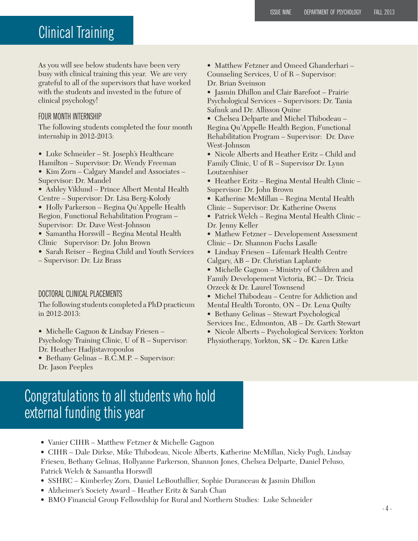### Clinical Training

As you will see below students have been very busy with clinical training this year. We are very grateful to all of the supervisors that have worked with the students and invested in the future of clinical psychology!

#### FOUR MONTH INTERNSHIP

The following students completed the four month internship in 2012-2013:

- Luke Schneider St. Joseph's Healthcare
- Hamilton Supervisor: Dr. Wendy Freeman
- Kim Zorn Calgary Mandel and Associates Supervisor: Dr. Mandel
- Ashley Viklund Prince Albert Mental Health Centre – Supervisor: Dr. Lisa Berg-Kolody

• Holly Parkerson – Regina Qu'Appelle Health Region, Functional Rehabilitation Program – Supervisor: Dr. Dave West-Johnson

- Samantha Horswill Regina Mental Health Clinic Supervisor: Dr. John Brown
- Sarah Reiser Regina Child and Youth Services

– Supervisor: Dr. Liz Brass

#### DOCTORAL CLINICAL PLACEMENTS

The following students completed a PhD practicum in 2012-2013:

• Michelle Gagnon & Lindsay Friesen – Psychology Training Clinic, U of R – Supervisor: Dr. Heather Hadjistavropoulos

• Bethany Gelinas – R.C.M.P. – Supervisor: Dr. Jason Peeples

- Matthew Fetzner and Omeed Ghanderhari Counseling Services, U of R – Supervisor: Dr. Brian Sveinson
- Jasmin Dhillon and Clair Barefoot Prairie Psychological Services – Supervisors: Dr. Tania Safnuk and Dr. Allisson Quine
- Chelsea Delparte and Michel Thibodeau Regina Qu'Appelle Health Region, Functional Rehabilitation Program – Supervisor: Dr. Dave West-Johnson
- Nicole Alberts and Heather Eritz Child and Family Clinic, U of R – Supervisor Dr. Lynn Loutzenhiser
- Heather Eritz Regina Mental Health Clinic Supervisor: Dr. John Brown
- Katherine McMillan Regina Mental Health Clinic – Supervisor: Dr. Katherine Owens
- Patrick Welch Regina Mental Health Clinic Dr. Jenny Keller
- Mathew Fetzner Developement Assessment Clinic – Dr. Shannon Fuchs Lasalle
- Lindsay Friesen Lifemark Health Centre Calgary, AB – Dr. Christian Laplante
- Michelle Gagnon Ministry of Children and Family Developement Victoria, BC – Dr. Tricia Orzeck & Dr. Laurel Townsend
- Michel Thibodeau Centre for Addiction and Mental Health Toronto, ON – Dr. Lena Quilty
- Bethany Gelinas Stewart Psychological Services Inc., Edmonton, AB – Dr. Garth Stewart
- Nicole Alberts Psychological Services: Yorkton
- Physiotherapy, Yorkton, SK Dr. Karen Litke

#### Congratulations to all students who hold external funding this year

- Vanier CIHR Matthew Fetzner & Michelle Gagnon
- CIHR Dale Dirkse, Mike Thibodeau, Nicole Alberts, Katherine McMillan, Nicky Pugh, Lindsay Friesen, Bethany Gelinas, Hollyanne Parkerson, Shannon Jones, Chelsea Delparte, Daniel Peluso, Patrick Welch & Samantha Horswill
- SSHRC Kimberley Zorn, Daniel LeBouthillier, Sophie Duranceau & Jasmin Dhillon
- Alzheimer's Society Award Heather Eritz & Sarah Chan
- BMO Financial Group Fellowdship for Rural and Northern Studies: Luke Schneider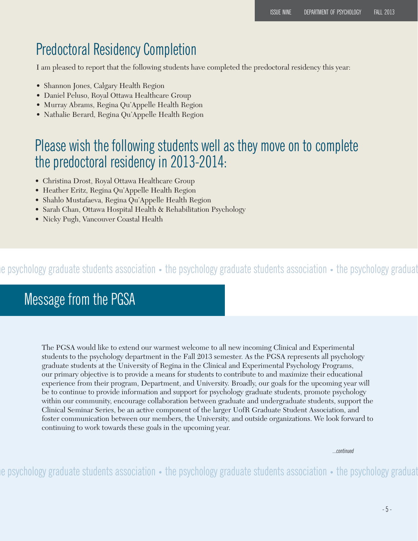### Predoctoral Residency Completion

I am pleased to report that the following students have completed the predoctoral residency this year:

- Shannon Jones, Calgary Health Region
- Daniel Peluso, Royal Ottawa Healthcare Group
- Murray Abrams, Regina Qu'Appelle Health Region
- Nathalie Berard, Regina Qu'Appelle Health Region

#### Please wish the following students well as they move on to complete the predoctoral residency in 2013-2014:

- Christina Drost, Royal Ottawa Healthcare Group
- Heather Eritz, Regina Qu'Appelle Health Region
- Shahlo Mustafaeva, Regina Qu'Appelle Health Region
- Sarah Chan, Ottawa Hospital Health & Rehabilitation Psychology
- Nicky Pugh, Vancouver Coastal Health

#### he psychology graduate students association • the psychology graduate students association • the psychology graduat

#### Message from the PGSA

The PGSA would like to extend our warmest welcome to all new incoming Clinical and Experimental students to the psychology department in the Fall 2013 semester. As the PGSA represents all psychology graduate students at the University of Regina in the Clinical and Experimental Psychology Programs, our primary objective is to provide a means for students to contribute to and maximize their educational experience from their program, Department, and University. Broadly, our goals for the upcoming year will be to continue to provide information and support for psychology graduate students, promote psychology within our community, encourage collaboration between graduate and undergraduate students, support the Clinical Seminar Series, be an active component of the larger UofR Graduate Student Association, and foster communication between our members, the University, and outside organizations. We look forward to continuing to work towards these goals in the upcoming year.

...continued

he psychology graduate students association • the psychology graduate students association • the psychology graduat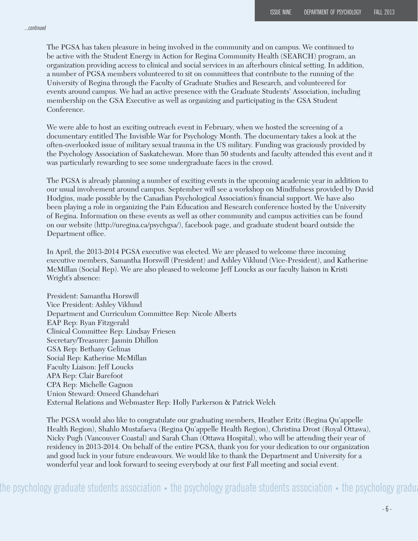The PGSA has taken pleasure in being involved in the community and on campus. We continued to be active with the Student Energy in Action for Regina Community Health (SEARCH) program, an organization providing access to clinical and social services in an afterhours clinical setting. In addition, a number of PGSA members volunteered to sit on committees that contribute to the running of the University of Regina through the Faculty of Graduate Studies and Research, and volunteered for events around campus. We had an active presence with the Graduate Students' Association, including membership on the GSA Executive as well as organizing and participating in the GSA Student Conference.

We were able to host an exciting outreach event in February, when we hosted the screening of a documentary entitled The Invisible War for Psychology Month. The documentary takes a look at the often-overlooked issue of military sexual trauma in the US military. Funding was graciously provided by the Psychology Association of Saskatchewan. More than 50 students and faculty attended this event and it was particularly rewarding to see some undergraduate faces in the crowd.

The PGSA is already planning a number of exciting events in the upcoming academic year in addition to our usual involvement around campus. September will see a workshop on Mindfulness provided by David Hodgins, made possible by the Canadian Psychological Association's financial support. We have also been playing a role in organizing the Pain Education and Research conference hosted by the University of Regina. Information on these events as well as other community and campus activities can be found on our website (http://uregina.ca/psychgsa/), facebook page, and graduate student board outside the Department office.

In April, the 2013-2014 PGSA executive was elected. We are pleased to welcome three incoming executive members, Samantha Horswill (President) and Ashley Viklund (Vice-President), and Katherine McMillan (Social Rep). We are also pleased to welcome Jeff Loucks as our faculty liaison in Kristi Wright's absence:

President: Samantha Horswill Vice President: Ashley Viklund Department and Curriculum Committee Rep: Nicole Alberts EAP Rep: Ryan Fitzgerald Clinical Committee Rep: Lindsay Friesen Secretary/Treasurer: Jasmin Dhillon GSA Rep: Bethany Gelinas Social Rep: Katherine McMillan Faculty Liaison: Jeff Loucks APA Rep: Clair Barefoot CPA Rep: Michelle Gagnon Union Steward: Omeed Ghandehari External Relations and Webmaster Rep: Holly Parkerson & Patrick Welch

The PGSA would also like to congratulate our graduating members, Heather Eritz (Regina Qu'appelle Health Region), Shahlo Mustafaeva (Regina Qu'appelle Health Region), Christina Drost (Royal Ottawa), Nicky Pugh (Vancouver Coastal) and Sarah Chan (Ottawa Hospital), who will be attending their year of residency in 2013-2014. On behalf of the entire PGSA, thank you for your dedication to our organization and good luck in your future endeavours. We would like to thank the Department and University for a wonderful year and look forward to seeing everybody at our first Fall meeting and social event.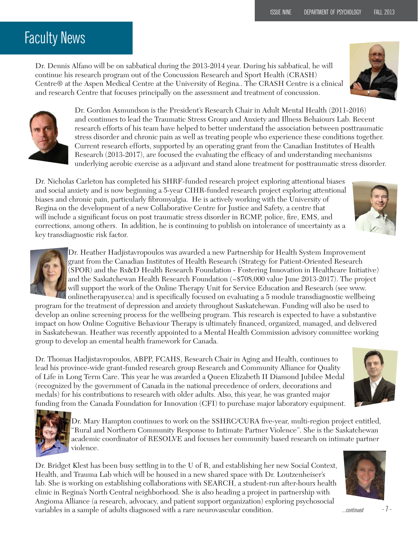### Faculty News

Dr. Dennis Alfano will be on sabbatical during the 2013-2014 year. During his sabbatical, he will continue his research program out of the Concussion Research and Sport Health (CRASH) Centre® at the Aspen Medical Centre at the University of Regina.. The CRASH Centre is a clinical and research Centre that focuses principally on the assessment and treatment of concussion.





Dr. Gordon Asmundson is the President's Research Chair in Adult Mental Health (2011-2016) and continues to lead the Traumatic Stress Group and Anxiety and Illness Behaiours Lab. Recent research efforts of his team have helped to better understand the association between posttraumatic stress disorder and chronic pain as well as treating people who experience these conditions together. Current research efforts, supported by an operating grant from the Canadian Institutes of Health Research (2013-2017), are focused the evaluating the efficacy of and understanding mechanisms underlying aerobic exercise as a adjuvant and stand alone treatment for posttraumatic stress disorder.

Dr. Nicholas Carleton has completed his SHRF-funded research project exploring attentional biases and social anxiety and is now beginning a 5-year CIHR-funded research project exploring attentional biases and chronic pain, particularly fibromyalgia. He is actively working with the University of Regina on the development of a new Collaborative Centre for Justice and Safety, a centre that will include a significant focus on post traumatic stress disorder in RCMP, police, fire, EMS, and corrections, among others. In addition, he is continuing to publish on intolerance of uncertainty as a key transdiagnostic risk factor.



Dr. Heather Hadjistavropoulos was awarded a new Partnership for Health System Improvement grant from the Canadian Institutes of Health Research (Strategy for Patient-Oriented Research (SPOR) and the Rx&D Health Research Foundation - Fostering Innovation in Healthcare Initiative) and the Saskatchewan Health Research Foundation (~\$708,000 value June 2013-2017). The project will support the work of the Online Therapy Unit for Service Education and Research (see www. onlinetherapyuser.ca) and is specifically focused on evaluating a 5 module transdiagnostic wellbeing

program for the treatment of depression and anxiety throughout Saskatchewan. Funding will also be used to develop an online screening process for the wellbeing program. This research is expected to have a substantive impact on how Online Cognitive Behaviour Therapy is ultimately financed, organized, managed, and delivered in Saskatchewan. Heather was recently appointed to a Mental Health Commission advisory committee working group to develop an emental health framework for Canada.

Dr. Thomas Hadjistavropoulos, ABPP, FCAHS, Research Chair in Aging and Health, continues to lead his province-wide grant-funded research group Research and Community Alliance for Quality of Life in Long Term Care. This year he was awarded a Queen Elizabeth II Diamond Jubilee Medal (recognized by the government of Canada in the national precedence of orders, decorations and medals) for his contributions to research with older adults. Also, this year, he was granted major funding from the Canada Foundation for Innovation (CFI) to purchase major laboratory equipment.



Dr. Mary Hampton continues to work on the SSHRC/CURA five-year, multi-region project entitled, "Rural and Northern Community Response to Intimate Partner Violence". She is the Saskatchewan academic coordinator of RESOLVE and focuses her community based research on intimate partner violence.

Dr. Bridget Klest has been busy settling in to the U of R, and establishing her new Social Context, Health, and Trauma Lab which will be housed in a new shared space with Dr. Loutzenheiser's lab. She is working on establishing collaborations with SEARCH, a student-run after-hours health clinic in Regina's North Central neighborhood. She is also heading a project in partnership with Angioma Alliance (a research, advocacy, and patient support organization) exploring psychosocial variables in a sample of adults diagnosed with a rare neurovascular condition. The matrice of  $\sim$  7 -





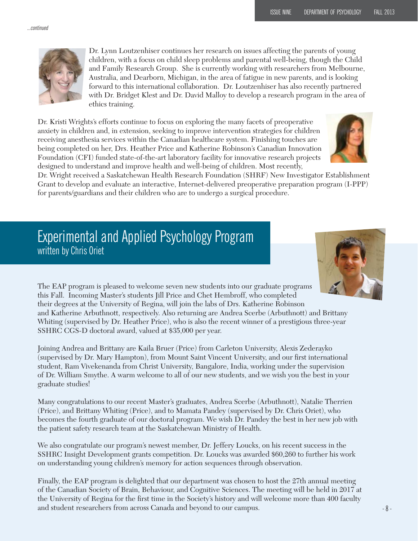

Dr. Lynn Loutzenhiser continues her research on issues affecting the parents of young children, with a focus on child sleep problems and parental well-being, though the Child and Family Research Group. She is currently working with researchers from Melbourne, Australia, and Dearborn, Michigan, in the area of fatigue in new parents, and is looking forward to this international collaboration. Dr. Loutzenhiser has also recently partnered with Dr. Bridget Klest and Dr. David Malloy to develop a research program in the area of ethics training.

Dr. Kristi Wrights's efforts continue to focus on exploring the many facets of preoperative anxiety in children and, in extension, seeking to improve intervention strategies for children receiving anesthesia services within the Canadian healthcare system. Finishing touches are being completed on her, Drs. Heather Price and Katherine Robinson's Canadian Innovation Foundation (CFI) funded state-of-the-art laboratory facility for innovative research projects designed to understand and improve health and well-being of children. Most recently,



Dr. Wright received a Saskatchewan Health Research Foundation (SHRF) New Investigator Establishment Grant to develop and evaluate an interactive, Internet-delivered preoperative preparation program (I-PPP) for parents/guardians and their children who are to undergo a surgical procedure.

#### Experimental and Applied Psychology Program written by Chris Oriet



The EAP program is pleased to welcome seven new students into our graduate programs this Fall. Incoming Master's students Jill Price and Chet Hembroff, who completed their degrees at the University of Regina, will join the labs of Drs. Katherine Robinson and Katherine Arbuthnott, respectively. Also returning are Andrea Scerbe (Arbuthnott) and Brittany Whiting (supervised by Dr. Heather Price), who is also the recent winner of a prestigious three-year SSHRC CGS-D doctoral award, valued at \$35,000 per year.

Joining Andrea and Brittany are Kaila Bruer (Price) from Carleton University, Alexis Zederayko (supervised by Dr. Mary Hampton), from Mount Saint Vincent University, and our first international student, Ram Vivekenanda from Christ University, Bangalore, India, working under the supervision of Dr. William Smythe. A warm welcome to all of our new students, and we wish you the best in your graduate studies!

Many congratulations to our recent Master's graduates, Andrea Scerbe (Arbuthnott), Natalie Therrien (Price), and Brittany Whiting (Price), and to Mamata Pandey (supervised by Dr. Chris Oriet), who becomes the fourth graduate of our doctoral program. We wish Dr. Pandey the best in her new job with the patient safety research team at the Saskatchewan Ministry of Health.

We also congratulate our program's newest member, Dr. Jeffery Loucks, on his recent success in the SSHRC Insight Development grants competition. Dr. Loucks was awarded \$60,260 to further his work on understanding young children's memory for action sequences through observation.

Finally, the EAP program is delighted that our department was chosen to host the 27th annual meeting of the Canadian Society of Brain, Behaviour, and Cognitive Sciences. The meeting will be held in 2017 at the University of Regina for the first time in the Society's history and will welcome more than 400 faculty and student researchers from across Canada and beyond to our campus.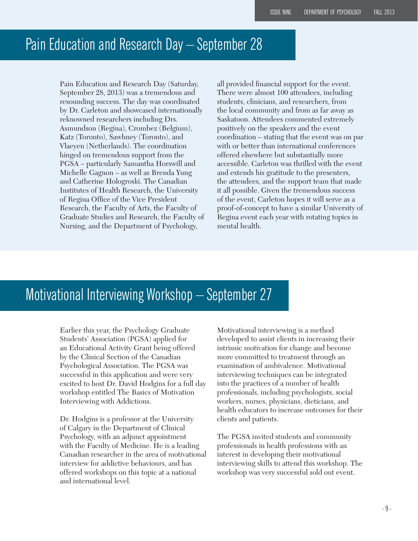#### Pain Education and Research Day – September 28

Pain Education and Research Day (Saturday, September 28, 2013) was a tremendous and resounding success. The day was coordinated by Dr. Carleton and showcased internationally reknowned researchers including Drs. Asmundson (Regina), Crombez (Belgium), Katz (Toronto), Sawhney (Toronto), and Vlaeyen (Netherlands). The coordination hinged on tremendous support from the PGSA – particularly Samantha Horswill and Michelle Gagnon – as well as Brenda Yung and Catherine Hologroski. The Canadian Institutes of Health Research, the University of Regina Office of the Vice President Research, the Faculty of Arts, the Faculty of Graduate Studies and Research, the Faculty of Nursing, and the Department of Psychology,

all provided financial support for the event. There were almost 100 attendees, including students, clinicians, and researchers, from the local community and from as far away as Saskatoon. Attendees commented extremely positively on the speakers and the event coordination – stating that the event was on par with or better than international conferences offered elsewhere but substantially more accessible. Carleton was thrilled with the event and extends his gratitude to the presenters, the attendees, and the support team that made it all possible. Given the tremendous success of the event, Carleton hopes it will serve as a proof-of-concept to have a similar University of Regina event each year with rotating topics in mental health.

### Motivational Interviewing Workshop - September 27

Earlier this year, the Psychology Graduate Students' Association (PGSA) applied for an Educational Activity Grant being offered by the Clinical Section of the Canadian Psychological Association. The PGSA was successful in this application and were very excited to host Dr. David Hodgins for a full day workshop entitled The Basics of Motivation Interviewing with Addictions.

Dr. Hodgins is a professor at the University of Calgary in the Department of Clinical Psychology, with an adjunct appointment with the Faculty of Medicine. He is a leading Canadian researcher in the area of motivational interview for addictive behaviours, and has offered workshops on this topic at a national and international level.

Motivational interviewing is a method developed to assist clients in increasing their intrinsic motivation for change and become more committed to treatment through an examination of ambivalence. Motivational interviewing techniques can be integrated into the practices of a number of health professionals, including psychologists, social workers, nurses, physicians, dieticians, and health educators to increase outcomes for their clients and patients.

The PGSA invited students and community professionals in health professions with an interest in developing their motivational interviewing skills to attend this workshop. The workshop was very successful sold out event.